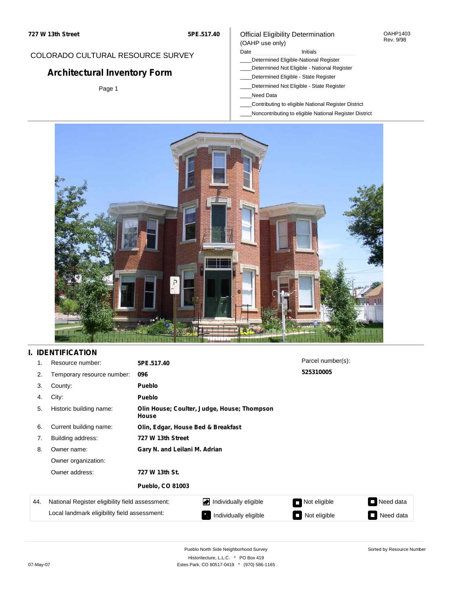## COLORADO CULTURAL RESOURCE SURVEY

# **Architectural Inventory Form**

Page 1

### Official Eligibility Determination (OAHP use only)

### Date **Initials** Initials

- \_\_\_\_Determined Eligible-National Register
- \_\_\_\_Determined Not Eligible National Register
- \_\_\_\_Determined Eligible State Register
- \_\_\_\_Determined Not Eligible State Register
- \_\_\_\_Need Data
- \_\_\_\_Contributing to eligible National Register District
- \_\_\_\_Noncontributing to eligible National Register District



## **I. IDENTIFICATION**

| 1.  | Resource number:                                | 5PE.517.40                         |                                             | Parcel number(s):                        |           |  |  |  |
|-----|-------------------------------------------------|------------------------------------|---------------------------------------------|------------------------------------------|-----------|--|--|--|
| 2.  | Temporary resource number:                      | 096                                |                                             | 525310005                                |           |  |  |  |
| 3.  | County:                                         | <b>Pueblo</b>                      |                                             |                                          |           |  |  |  |
| 4.  | City:                                           | <b>Pueblo</b>                      |                                             |                                          |           |  |  |  |
| 5.  | Historic building name:                         | House                              | Olin House; Coulter, Judge, House; Thompson |                                          |           |  |  |  |
| 6.  | Current building name:                          | Olin, Edgar, House Bed & Breakfast |                                             |                                          |           |  |  |  |
| 7.  | Building address:                               | 727 W 13th Street                  |                                             |                                          |           |  |  |  |
| 8.  | Owner name:                                     | Gary N. and Leilani M. Adrian      |                                             |                                          |           |  |  |  |
|     | Owner organization:                             |                                    |                                             |                                          |           |  |  |  |
|     | Owner address:                                  | 727 W 13th St.                     |                                             |                                          |           |  |  |  |
|     |                                                 | <b>Pueblo, CO 81003</b>            |                                             |                                          |           |  |  |  |
| 44. | National Register eligibility field assessment: |                                    | Individually eligible                       | Not eligible                             | Need data |  |  |  |
|     | Local landmark eligibility field assessment:    |                                    | Individually eligible                       | Not eligible<br>$\overline{\phantom{a}}$ | Need data |  |  |  |

Sorted by Resource Number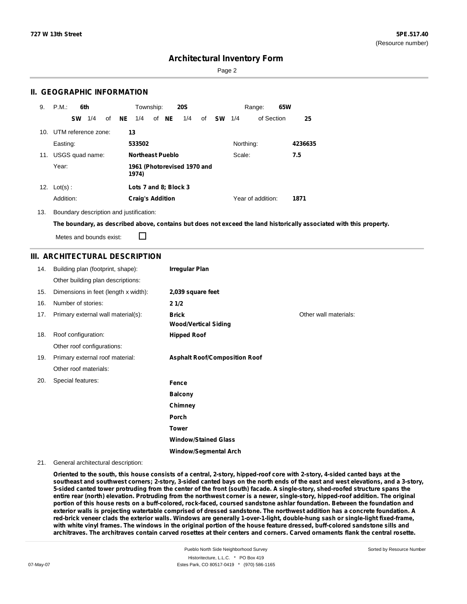Page 2

### **II. GEOGRAPHIC INFORMATION**

| 9.  | P.M.                    |           | 6th             |    |    | Township:               |       | <b>20S</b>                  |    |           |           | Range:            | 65W |         |
|-----|-------------------------|-----------|-----------------|----|----|-------------------------|-------|-----------------------------|----|-----------|-----------|-------------------|-----|---------|
|     |                         | <b>SW</b> | 1/4             | οf | NE | 1/4                     | of NE | 1/4                         | οf | <b>SW</b> | 1/4       | of Section        |     | 25      |
|     | 10. UTM reference zone: |           |                 |    | 13 |                         |       |                             |    |           |           |                   |     |         |
|     | Easting:                |           |                 |    |    | 533502                  |       |                             |    |           | Northing: |                   |     | 4236635 |
| 11. |                         |           | USGS quad name: |    |    | <b>Northeast Pueblo</b> |       |                             |    |           | Scale:    |                   |     | 7.5     |
|     | Year:                   |           |                 |    |    | 1974)                   |       | 1961 (Photorevised 1970 and |    |           |           |                   |     |         |
| 12. | $Lot(s)$ :              |           |                 |    |    | Lots 7 and 8; Block 3   |       |                             |    |           |           |                   |     |         |
|     | Addition:               |           |                 |    |    | <b>Craig's Addition</b> |       |                             |    |           |           | Year of addition: |     | 1871    |

13. Boundary description and justification:

The boundary, as described above, contains but does not exceed the land historically associated with this property.

Metes and bounds exist:

П

### **III. ARCHITECTURAL DESCRIPTION**

| 14. | Building plan (footprint, shape):    | <b>Irregular Plan</b>                |                       |
|-----|--------------------------------------|--------------------------------------|-----------------------|
|     | Other building plan descriptions:    |                                      |                       |
| 15. | Dimensions in feet (length x width): | 2,039 square feet                    |                       |
| 16. | Number of stories:                   | 21/2                                 |                       |
| 17. | Primary external wall material(s):   | <b>Brick</b>                         | Other wall materials: |
|     |                                      | <b>Wood/Vertical Siding</b>          |                       |
| 18. | Roof configuration:                  | <b>Hipped Roof</b>                   |                       |
|     | Other roof configurations:           |                                      |                       |
| 19. | Primary external roof material:      | <b>Asphalt Roof/Composition Roof</b> |                       |
|     | Other roof materials:                |                                      |                       |
| 20. | Special features:                    | Fence                                |                       |
|     |                                      | <b>Balcony</b>                       |                       |
|     |                                      | Chimney                              |                       |
|     |                                      | Porch                                |                       |
|     |                                      | <b>Tower</b>                         |                       |
|     |                                      | <b>Window/Stained Glass</b>          |                       |
|     |                                      | <b>Window/Segmental Arch</b>         |                       |

#### 21. General architectural description:

Oriented to the south, this house consists of a central, 2-story, hipped-roof core with 2-story, 4-sided canted bays at the southeast and southwest corners; 2-story, 3-sided canted bays on the north ends of the east and west elevations, and a 3-story, 5-sided canted tower protruding from the center of the front (south) facade. A single-story, shed-roofed structure spans the entire rear (north) elevation. Protruding from the northwest corner is a newer, single-story, hipped-roof addition. The original portion of this house rests on a buff-colored, rock-faced, coursed sandstone ashlar foundation. Between the foundation and exterior walls is projecting watertable comprised of dressed sandstone. The northwest addition has a concrete foundation. A red-brick veneer clads the exterior walls. Windows are generally 1-over-1-light, double-hung sash or single-light fixed-frame, with white vinyl frames. The windows in the original portion of the house feature dressed, buff-colored sandstone sills and architraves. The architraves contain carved rosettes at their centers and corners. Carved ornaments flank the central rosette.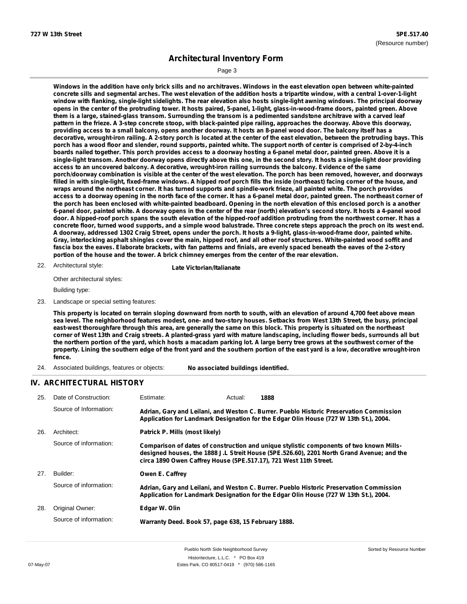Page 3

Windows in the addition have only brick sills and no architraves. Windows in the east elevation open between white-painted concrete sills and segmental arches. The west elevation of the addition hosts a tripartite window, with a central 1-over-1-light window with flanking, single-light sidelights. The rear elevation also hosts single-light awning windows. The principal doorway opens in the center of the protruding tower. It hosts paired, 5-panel, 1-light, glass-in-wood-frame doors, painted green. Above them is a large, stained-glass transom. Surrounding the transom is a pedimented sandstone architrave with a carved leaf pattern in the frieze. A 3-step concrete stoop, with black-painted pipe railing, approaches the doorway. Above this doorway, providing access to a small balcony, opens another doorway. It hosts an 8-panel wood door. The balcony itself has a decorative, wrought-iron railing. A 2-story porch is located at the center of the east elevation, between the protruding bays. This porch has a wood floor and slender, round supports, painted white. The support north of center is comprised of 2-by-4-inch boards nailed together. This porch provides access to a doorway hosting a 6-panel metal door, painted green. Above it is a single-light transom. Another doorway opens directly above this one, in the second story. It hosts a single-light door providing **access to an uncovered balcony. A decorative, wrought-iron railing surrounds the balcony. Evidence of the same** porch/doorway combination is visible at the center of the west elevation. The porch has been removed, however, and doorways filled in with single-light, fixed-frame windows. A hipped roof porch fills the inside (northeast) facing corner of the house, and wraps around the northeast corner. It has turned supports and spindle-work frieze, all painted white. The porch provides access to a doorway opening in the north face of the corner. It has a 6-panel metal door, painted green. The northeast corner of the porch has been enclosed with white-painted beadboard. Opening in the north elevation of this enclosed porch is a another 6-panel door, painted white. A doorway opens in the center of the rear (north) elevation's second story. It hosts a 4-panel wood door. A hipped-roof porch spans the south elevation of the hipped-roof addition protruding from the northwest corner. It has a concrete floor, turned wood supports, and a simple wood balustrade. Three concrete steps approach the proch on its west end. A doorway, addressed 1302 Craig Street, opens under the porch. It hosts a 9-light, glass-in-wood-frame door, painted white. Gray, interlocking asphalt shingles cover the main, hipped roof, and all other roof structures. White-painted wood soffit and fascia box the eaves. Elaborate brackets, with fan patterns and finials, are evenly spaced beneath the eaves of the 2-story **portion of the house and the tower. A brick chimney emerges from the center of the rear elevation.**

Architectural style: 22. **Late Victorian/Italianate**

Other architectural styles:

Building type:

23. Landscape or special setting features:

This property is located on terrain sloping downward from north to south, with an elevation of around 4,700 feet above mean sea level. The neighborhood features modest, one- and two-story houses. Setbacks from West 13th Street, the busy, principal east-west thoroughfare through this area, are generally the same on this block. This property is situated on the northeast corner of West 13th and Craig streets. A planted-grass yard with mature landscaping, including flower beds, surrounds all but the northern portion of the yard, which hosts a macadam parking lot. A large berry tree grows at the southwest corner of the property. Lining the southern edge of the front yard and the southern portion of the east yard is a low, decorative wrought-iron **fence.**

24. Associated buildings, features or objects: **No associated buildings identified.**

### **IV. ARCHITECTURAL HISTORY**

| 25. | Date of Construction:  | Estimate:                                                         | Actual: | 1888                                                                                                                                                                                 |  |
|-----|------------------------|-------------------------------------------------------------------|---------|--------------------------------------------------------------------------------------------------------------------------------------------------------------------------------------|--|
|     | Source of Information: |                                                                   |         | Adrian, Gary and Leilani, and Weston C. Burrer. Pueblo Historic Preservation Commission<br>Application for Landmark Designation for the Edgar Olin House (727 W 13th St.), 2004.     |  |
| 26. | Architect:             | Patrick P. Mills (most likely)                                    |         |                                                                                                                                                                                      |  |
|     | Source of information: | circa 1890 Owen Caffrey House (5PE.517.17), 721 West 11th Street. |         | Comparison of dates of construction and unique stylistic components of two known Mills-<br>designed houses, the 1888 J.L Streit House (5PE.526.60), 2201 North Grand Avenue; and the |  |
| 27. | Builder:               | Owen E. Caffrey                                                   |         |                                                                                                                                                                                      |  |
|     | Source of information: |                                                                   |         | Adrian, Gary and Leilani, and Weston C. Burrer. Pueblo Historic Preservation Commission<br>Application for Landmark Designation for the Edgar Olin House (727 W 13th St.), 2004.     |  |
| 28. | Original Owner:        | Edgar W. Olin                                                     |         |                                                                                                                                                                                      |  |
|     | Source of information: | Warranty Deed. Book 57, page 638, 15 February 1888.               |         |                                                                                                                                                                                      |  |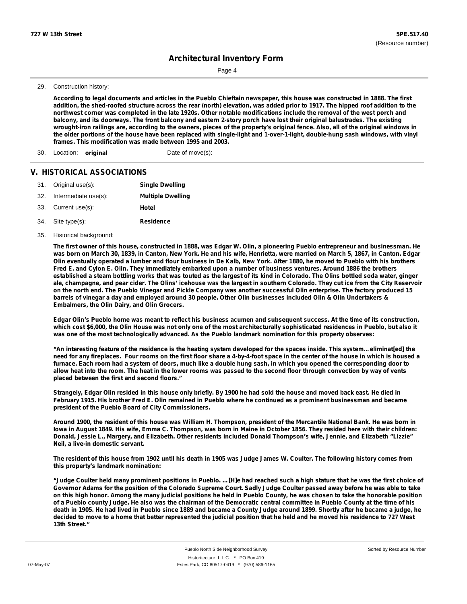Page 4

29. Construction history:

According to legal documents and articles in the Pueblo Chieftain newspaper, this house was constructed in 1888. The first addition, the shed-roofed structure across the rear (north) elevation, was added prior to 1917. The hipped roof addition to the northwest corner was completed in the late 1920s. Other notable modifications include the removal of the west porch and balcony, and its doorways. The front balcony and eastern 2-story porch have lost their original balustrades. The existing wrought-iron railings are, according to the owners, pieces of the property's original fence. Also, all of the original windows in the older portions of the house have been replaced with single-light and 1-over-1-light, double-hung sash windows, with vinyl **frames. This modification was made between 1995 and 2003.**

30. Location: **original** Date of move(s):

### **V. HISTORICAL ASSOCIATIONS**

|     | 31. Original use(s): | <b>Single Dwelling</b>   |
|-----|----------------------|--------------------------|
| 32. | Intermediate use(s): | <b>Multiple Dwelling</b> |
|     | 33. Current use(s):  | Hotel                    |
|     | 34. Site type(s):    | <b>Residence</b>         |

35. Historical background:

The first owner of this house, constructed in 1888, was Edgar W. Olin, a pioneering Pueblo entrepreneur and businessman. He was born on March 30, 1839, in Canton, New York. He and his wife, Henrietta, were married on March 5, 1867, in Canton. Edgar Olin eventually operated a lumber and flour business in De Kalb, New York. After 1880, he moved to Pueblo with his brothers Fred E. and Cylon E. Olin. They immediately embarked upon a number of business ventures. Around 1886 the brothers established a steam bottling works that was touted as the largest of its kind in Colorado. The Olins bottled soda water, ginger ale, champagne, and pear cider. The Olins' icehouse was the largest in southern Colorado. They cut ice from the City Reservoir on the north end. The Pueblo Vinegar and Pickle Company was another successful Olin enterprise. The factory produced 15 barrels of vinegar a day and employed around 30 people. Other Olin businesses included Olin & Olin Undertakers & **Embalmers, the Olin Dairy, and Olin Grocers.**

Edgar Olin's Pueblo home was meant to reflect his business acumen and subsequent success. At the time of its construction, which cost \$6,000, the Olin House was not only one of the most architecturally sophisticated residences in Pueblo, but also it **was one of the most technologically advanced. As the Pueblo landmark nomination for this property observes:**

"An interesting feature of the residence is the heating system developed for the spaces inside. This system...eliminat[ed] the need for any fireplaces. Four rooms on the first floor share a 4-by-4-foot space in the center of the house in which is housed a furnace. Each room had a system of doors, much like a double hung sash, in which you opened the corresponding door to allow heat into the room. The heat in the lower rooms was passed to the second floor through convection by way of vents **placed between the first and second floors."**

Strangely, Edgar Olin resided in this house only briefly. By 1900 he had sold the house and moved back east. He died in February 1915. His brother Fred E. Olin remained in Pueblo where he continued as a prominent businessman and became **president of the Pueblo Board of City Commissioners.**

Around 1900, the resident of this house was William H. Thompson, president of the Mercantile National Bank. He was born in lowa in August 1849. His wife, Emma C. Thompson, was born in Maine in October 1856. They resided here with their children: Donald, Jessie L., Margery, and Elizabeth. Other residents included Donald Thompson's wife, Jennie, and Elizabeth "Lizzie" **Neil, a live-in domestic servant.**

The resident of this house from 1902 until his death in 1905 was Judge James W. Coulter. The following history comes from **this property's landmark nomination:**

"Judge Coulter held many prominent positions in Pueblo. ...[H]e had reached such a high stature that he was the first choice of Governor Adams for the position of the Colorado Supreme Court. Sadly Judge Coulter passed away before he was able to take on this high honor. Among the many judicial positions he held in Pueblo County, he was chosen to take the honorable position of a Pueblo county Judge. He also was the chairman of the Democratic central committee in Pueblo County at the time of his death in 1905. He had lived in Pueblo since 1889 and became a County Judge around 1899. Shortly after he became a judge, he decided to move to a home that better represented the judicial position that he held and he moved his residence to 727 West **13th Street."**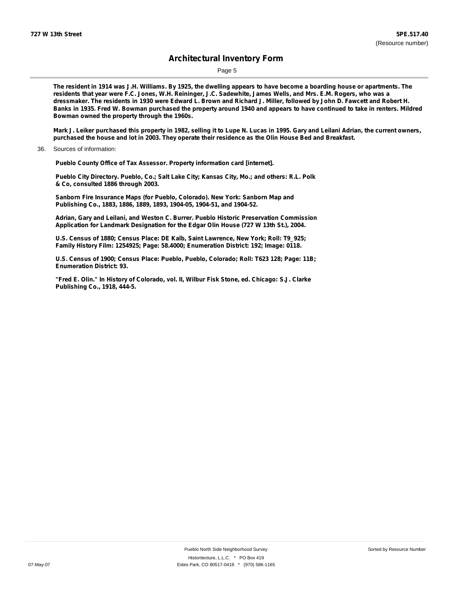Page 5

The resident in 1914 was J.H. Williams. By 1925, the dwelling appears to have become a boarding house or apartments. The residents that year were F.C. Jones, W.H. Reininger, J.C. Sadewhite, James Wells, and Mrs. E.M. Rogers, who was a dressmaker. The residents in 1930 were Edward L. Brown and Richard J. Miller, followed by John D. Fawcett and Robert H. Banks in 1935. Fred W. Bowman purchased the property around 1940 and appears to have continued to take in renters. Mildred **Bowman owned the property through the 1960s.**

Mark J. Leiker purchased this property in 1982, selling it to Lupe N. Lucas in 1995. Gary and Leilani Adrian, the current owners, purchased the house and lot in 2003. They operate their residence as the Olin House Bed and Breakfast.

36. Sources of information:

**Pueblo County Office of Tax Assessor. Property information card [internet].**

**Pueblo City Directory. Pueblo, Co.; Salt Lake City; Kansas City, Mo.; and others: R.L. Polk & Co, consulted 1886 through 2003.**

**Sanborn Fire Insurance Maps (for Pueblo, Colorado). New York: Sanborn Map and Publishing Co., 1883, 1886, 1889, 1893, 1904-05, 1904-51, and 1904-52.**

**Adrian, Gary and Leilani, and Weston C. Burrer. Pueblo Historic Preservation Commission Application for Landmark Designation for the Edgar Olin House (727 W 13th St.), 2004.**

**U.S. Census of 1880; Census Place: DE Kalb, Saint Lawrence, New York; Roll: T9\_925; Family History Film: 1254925; Page: 58.4000; Enumeration District: 192; Image: 0118.**

**U.S. Census of 1900; Census Place: Pueblo, Pueblo, Colorado; Roll: T623 128; Page: 11B; Enumeration District: 93.**

**"Fred E. Olin." In History of Colorado, vol. II, Wilbur Fisk Stone, ed. Chicago: S.J. Clarke Publishing Co., 1918, 444-5.**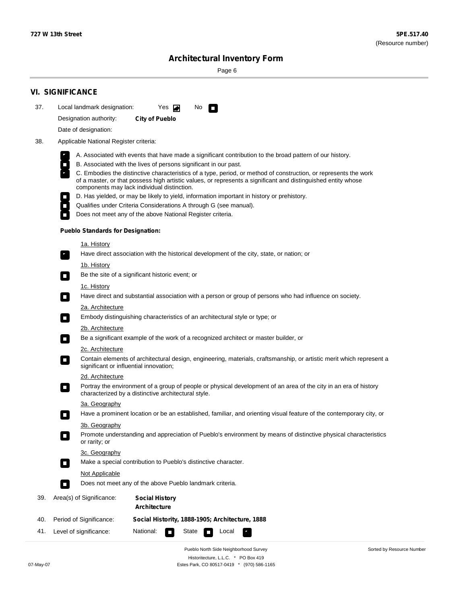Page 6

| 37. | Local landmark designation:                                                                                                                                         | Yes $\blacksquare$<br>No.<br>$\mathcal{L}_{\mathcal{A}}$                                                                                                                                                                                                                                                                                                                                                                                                                                                                                                                                                                                                                                          |  |  |  |  |  |  |  |
|-----|---------------------------------------------------------------------------------------------------------------------------------------------------------------------|---------------------------------------------------------------------------------------------------------------------------------------------------------------------------------------------------------------------------------------------------------------------------------------------------------------------------------------------------------------------------------------------------------------------------------------------------------------------------------------------------------------------------------------------------------------------------------------------------------------------------------------------------------------------------------------------------|--|--|--|--|--|--|--|
|     | Designation authority:                                                                                                                                              | <b>City of Pueblo</b>                                                                                                                                                                                                                                                                                                                                                                                                                                                                                                                                                                                                                                                                             |  |  |  |  |  |  |  |
|     | Date of designation:                                                                                                                                                |                                                                                                                                                                                                                                                                                                                                                                                                                                                                                                                                                                                                                                                                                                   |  |  |  |  |  |  |  |
| 38. | Applicable National Register criteria:                                                                                                                              |                                                                                                                                                                                                                                                                                                                                                                                                                                                                                                                                                                                                                                                                                                   |  |  |  |  |  |  |  |
|     | $\Box$<br>$\overline{\phantom{a}}$                                                                                                                                  | A. Associated with events that have made a significant contribution to the broad pattern of our history.<br>B. Associated with the lives of persons significant in our past.<br>C. Embodies the distinctive characteristics of a type, period, or method of construction, or represents the work<br>of a master, or that possess high artistic values, or represents a significant and distinguished entity whose<br>components may lack individual distinction.<br>D. Has yielded, or may be likely to yield, information important in history or prehistory.<br>Qualifies under Criteria Considerations A through G (see manual).<br>Does not meet any of the above National Register criteria. |  |  |  |  |  |  |  |
|     | <b>Pueblo Standards for Designation:</b>                                                                                                                            |                                                                                                                                                                                                                                                                                                                                                                                                                                                                                                                                                                                                                                                                                                   |  |  |  |  |  |  |  |
|     | <u>1a. History</u><br>$\overline{\phantom{a}}$ .                                                                                                                    | Have direct association with the historical development of the city, state, or nation; or                                                                                                                                                                                                                                                                                                                                                                                                                                                                                                                                                                                                         |  |  |  |  |  |  |  |
|     | <u>1b. History</u><br>$\mathcal{L}_{\mathcal{A}}$                                                                                                                   | Be the site of a significant historic event; or                                                                                                                                                                                                                                                                                                                                                                                                                                                                                                                                                                                                                                                   |  |  |  |  |  |  |  |
|     | 1c. History<br>$\Box$                                                                                                                                               | Have direct and substantial association with a person or group of persons who had influence on society.                                                                                                                                                                                                                                                                                                                                                                                                                                                                                                                                                                                           |  |  |  |  |  |  |  |
|     | 2a. Architecture<br>$\blacksquare$                                                                                                                                  | Embody distinguishing characteristics of an architectural style or type; or                                                                                                                                                                                                                                                                                                                                                                                                                                                                                                                                                                                                                       |  |  |  |  |  |  |  |
|     | 2b. Architecture                                                                                                                                                    |                                                                                                                                                                                                                                                                                                                                                                                                                                                                                                                                                                                                                                                                                                   |  |  |  |  |  |  |  |
|     |                                                                                                                                                                     | Be a significant example of the work of a recognized architect or master builder, or                                                                                                                                                                                                                                                                                                                                                                                                                                                                                                                                                                                                              |  |  |  |  |  |  |  |
|     | 2c. Architecture                                                                                                                                                    |                                                                                                                                                                                                                                                                                                                                                                                                                                                                                                                                                                                                                                                                                                   |  |  |  |  |  |  |  |
|     | Contain elements of architectural design, engineering, materials, craftsmanship, or artistic merit which represent a<br>О<br>significant or influential innovation; |                                                                                                                                                                                                                                                                                                                                                                                                                                                                                                                                                                                                                                                                                                   |  |  |  |  |  |  |  |
|     | 2d. Architecture<br>$\Box$                                                                                                                                          | Portray the environment of a group of people or physical development of an area of the city in an era of history<br>characterized by a distinctive architectural style.                                                                                                                                                                                                                                                                                                                                                                                                                                                                                                                           |  |  |  |  |  |  |  |
|     | 3a. Geography                                                                                                                                                       | Have a prominent location or be an established, familiar, and orienting visual feature of the contemporary city, or                                                                                                                                                                                                                                                                                                                                                                                                                                                                                                                                                                               |  |  |  |  |  |  |  |
|     | 3b. Geography<br>$\Box$<br>or rarity; or                                                                                                                            | Promote understanding and appreciation of Pueblo's environment by means of distinctive physical characteristics                                                                                                                                                                                                                                                                                                                                                                                                                                                                                                                                                                                   |  |  |  |  |  |  |  |
|     | 3c. Geography<br>$\blacksquare$                                                                                                                                     | Make a special contribution to Pueblo's distinctive character.                                                                                                                                                                                                                                                                                                                                                                                                                                                                                                                                                                                                                                    |  |  |  |  |  |  |  |
|     | Not Applicable<br>$\overline{\phantom{a}}$                                                                                                                          | Does not meet any of the above Pueblo landmark criteria.                                                                                                                                                                                                                                                                                                                                                                                                                                                                                                                                                                                                                                          |  |  |  |  |  |  |  |
| 39. | Area(s) of Significance:                                                                                                                                            | <b>Social History</b><br>Architecture                                                                                                                                                                                                                                                                                                                                                                                                                                                                                                                                                                                                                                                             |  |  |  |  |  |  |  |
| 40. | Period of Significance:                                                                                                                                             | Social Histority, 1888-1905; Architecture, 1888                                                                                                                                                                                                                                                                                                                                                                                                                                                                                                                                                                                                                                                   |  |  |  |  |  |  |  |
|     |                                                                                                                                                                     |                                                                                                                                                                                                                                                                                                                                                                                                                                                                                                                                                                                                                                                                                                   |  |  |  |  |  |  |  |

Pueblo North Side Neighborhood Survey Historitecture, L.L.C. \* PO Box 419 07-May-07 Estes Park, CO 80517-0419 \* (970) 586-1165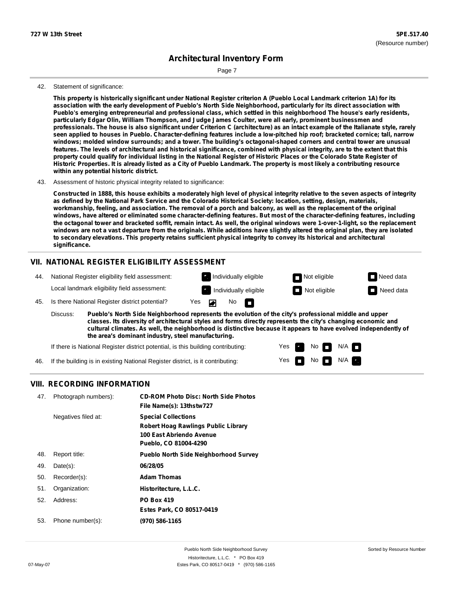Page 7

#### 42. Statement of significance:

This property is historically significant under National Register criterion A (Pueblo Local Landmark criterion 1A) for its association with the early development of Pueblo's North Side Neighborhood, particularly for its direct association with Pueblo's emerging entrepreneurial and professional class, which settled in this neighborhood The house's early residents, **particularly Edgar Olin, William Thompson, and Judge James Coulter, were all early, prominent businessmen and** professionals. The house is also significant under Criterion C (architecture) as an intact example of the Italianate style, rarely seen applied to houses in Pueblo. Character-defining features include a low-pitched hip roof; bracketed cornice; tall, narrow windows; molded window surrounds; and a tower. The building's octagonal-shaped corners and central tower are unusual features. The levels of architectural and historical significance, combined with physical integrity, are to the extent that this property could qualify for individual listing in the National Register of Historic Places or the Colorado State Register of Historic Properties. It is already listed as a City of Pueblo Landmark. The property is most likely a contributing resource **within any potential historic district.**

#### 43. Assessment of historic physical integrity related to significance:

Constructed in 1888, this house exhibits a moderately high level of physical integrity relative to the seven aspects of integrity as defined by the National Park Service and the Colorado Historical Society: location, setting, design, materials, workmanship, feeling, and association. The removal of a porch and balcony, as well as the replacement of the original windows, have altered or eliminated some character-defining features. But most of the character-defining features, including the octagonal tower and bracketed soffit, remain intact. As well, the original windows were 1-over-1-light, so the replacement windows are not a vast departure from the originals. While additions have slightly altered the original plan, they are isolated **to secondary elevations. This property retains sufficient physical integrity to convey its historical and architectural significance.**

### **VII. NATIONAL REGISTER ELIGIBILITY ASSESSMENT**



**Pueblo's North Side Neighborhood represents the evolution of the city's professional middle and upper classes. Its diversity of architectural styles and forms directly represents the city's changing economic and cultural climates. As well, the neighborhood is distinctive because it appears to have evolved independently of the area's dominant industry, steel manufacturing.** Discuss:

> Yes Yes

No<sub>D</sub>IN/A  $No$   $N/A$ 

If there is National Register district potential, is this building contributing:

46. If the building is in existing National Register district, is it contributing:

#### **VIII. RECORDING INFORMATION**

| 47. | Photograph numbers): | <b>CD-ROM Photo Disc: North Side Photos</b><br>File Name(s): 13thstw727                                                       |
|-----|----------------------|-------------------------------------------------------------------------------------------------------------------------------|
|     | Negatives filed at:  | <b>Special Collections</b><br><b>Robert Hoag Rawlings Public Library</b><br>100 East Abriendo Avenue<br>Pueblo, CO 81004-4290 |
| 48. | Report title:        | <b>Pueblo North Side Neighborhood Survey</b>                                                                                  |
| 49. | $Date(s)$ :          | 06/28/05                                                                                                                      |
| 50. | Recorder(s):         | <b>Adam Thomas</b>                                                                                                            |
| 51. | Organization:        | Historitecture, L.L.C.                                                                                                        |
| 52. | Address:             | <b>PO Box 419</b>                                                                                                             |
|     |                      | Estes Park, CO 80517-0419                                                                                                     |
| 53. | Phone number(s):     | (970) 586-1165                                                                                                                |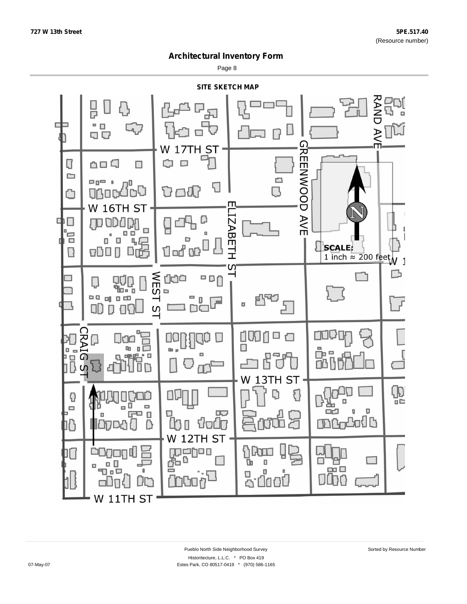Page 8